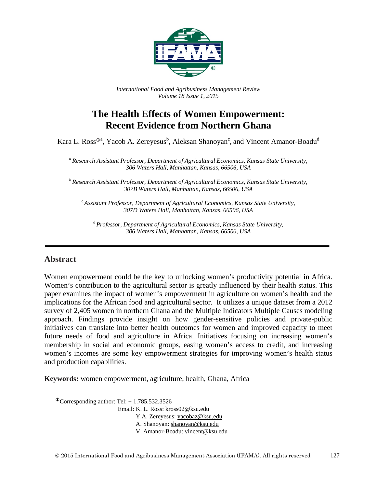

*International Food and Agribusiness Management Review Volume 18 Issue 1, 2015*

# **The Health Effects of Women Empowerment: Recent Evidence from Northern Ghana**

Kara L. Ross<sup>®a</sup>, Yacob A. Zereyesus<sup>b</sup>, Aleksan Shanoyan<sup>c</sup>, and Vincent Amanor-Boadu<sup>d</sup>

*<sup>a</sup> Research Assistant Professor, Department of Agricultural Economics, Kansas State University, 306 Waters Hall, Manhattan, Kansas, 66506, USA*

*<sup>b</sup> Research Assistant Professor, Department of Agricultural Economics, Kansas State University, 307B Waters Hall, Manhattan, Kansas, 66506, USA*

*<sup>c</sup> Assistant Professor, Department of Agricultural Economics, Kansas State University, 307D Waters Hall, Manhattan, Kansas, 66506, USA*

*<sup>d</sup> Professor, Department of Agricultural Economics, Kansas State University, 306 Waters Hall, Manhattan, Kansas, 66506, USA*

#### **Abstract**

Women empowerment could be the key to unlocking women's productivity potential in Africa. Women's contribution to the agricultural sector is greatly influenced by their health status. This paper examines the impact of women's empowerment in agriculture on women's health and the implications for the African food and agricultural sector. It utilizes a unique dataset from a 2012 survey of 2,405 women in northern Ghana and the Multiple Indicators Multiple Causes modeling approach. Findings provide insight on how gender-sensitive policies and private-public initiatives can translate into better health outcomes for women and improved capacity to meet future needs of food and agriculture in Africa. Initiatives focusing on increasing women's membership in social and economic groups, easing women's access to credit, and increasing women's incomes are some key empowerment strategies for improving women's health status and production capabilities.

**Keywords:** women empowerment, agriculture, health, Ghana, Africa

 $^{\circ}$ Corresponding author: Tel: + 1.785.532.3526

Email: K. L. Ross: [kross02@ksu.edu](mailto:kross02@ksu.edu) Y.A. Zereyesus: [yacobaz@ksu.edu](mailto:yacobaz@ksu.edu) A. Shanoyan[: shanoyan@ksu.edu](mailto:shanoyan@ksu.edu) V. Amanor-Boadu: [vincent@ksu.edu](mailto:vincent@ksu.edu)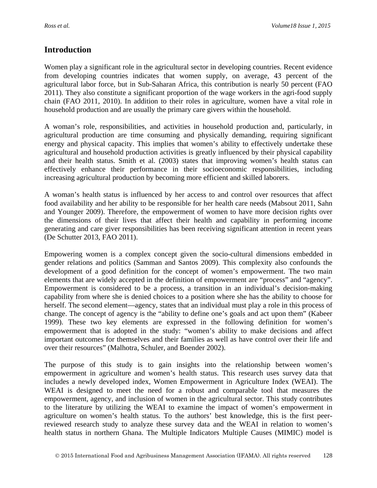## **Introduction**

Women play a significant role in the agricultural sector in developing countries. Recent evidence from developing countries indicates that women supply, on average, 43 percent of the agricultural labor force, but in Sub-Saharan Africa, this contribution is nearly 50 percent (FAO 2011). They also constitute a significant proportion of the wage workers in the agri-food supply chain (FAO 2011, 2010). In addition to their roles in agriculture, women have a vital role in household production and are usually the primary care givers within the household.

A woman's role, responsibilities, and activities in household production and, particularly, in agricultural production are time consuming and physically demanding, requiring significant energy and physical capacity. This implies that women's ability to effectively undertake these agricultural and household production activities is greatly influenced by their physical capability and their health status. Smith et al. (2003) states that improving women's health status can effectively enhance their performance in their socioeconomic responsibilities, including increasing agricultural production by becoming more efficient and skilled laborers.

A woman's health status is influenced by her access to and control over resources that affect food availability and her ability to be responsible for her health care needs (Mabsout 2011, Sahn and Younger 2009). Therefore, the empowerment of women to have more decision rights over the dimensions of their lives that affect their health and capability in performing income generating and care giver responsibilities has been receiving significant attention in recent years (De Schutter 2013, FAO 2011).

Empowering women is a complex concept given the socio-cultural dimensions embedded in gender relations and politics (Samman and Santos 2009). This complexity also confounds the development of a good definition for the concept of women's empowerment. The two main elements that are widely accepted in the definition of empowerment are "process" and "agency". Empowerment is considered to be a process, a transition in an individual's decision-making capability from where she is denied choices to a position where she has the ability to choose for herself. The second element—agency, states that an individual must play a role in this process of change. The concept of agency is the "ability to define one's goals and act upon them" (Kabeer 1999). These two key elements are expressed in the following definition for women's empowerment that is adopted in the study: "women's ability to make decisions and affect important outcomes for themselves and their families as well as have control over their life and over their resources" (Malhotra, Schuler, and Boender 2002).

The purpose of this study is to gain insights into the relationship between women's empowerment in agriculture and women's health status. This research uses survey data that includes a newly developed index, Women Empowerment in Agriculture Index (WEAI). The WEAI is designed to meet the need for a robust and comparable tool that measures the empowerment, agency, and inclusion of women in the agricultural sector. This study contributes to the literature by utilizing the WEAI to examine the impact of women's empowerment in agriculture on women's health status. To the authors' best knowledge, this is the first peerreviewed research study to analyze these survey data and the WEAI in relation to women's health status in northern Ghana. The Multiple Indicators Multiple Causes (MIMIC) model is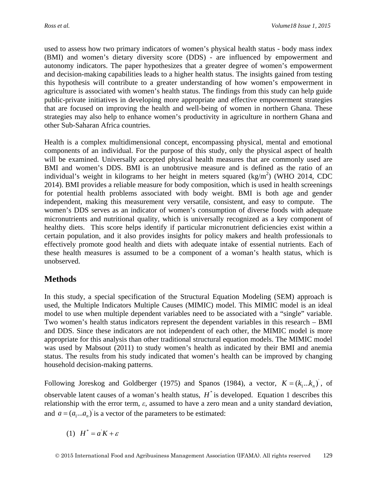used to assess how two primary indicators of women's physical health status - body mass index (BMI) and women's dietary diversity score (DDS) - are influenced by empowerment and autonomy indicators. The paper hypothesizes that a greater degree of women's empowerment and decision-making capabilities leads to a higher health status. The insights gained from testing this hypothesis will contribute to a greater understanding of how women's empowerment in agriculture is associated with women's health status. The findings from this study can help guide public-private initiatives in developing more appropriate and effective empowerment strategies that are focused on improving the health and well-being of women in northern Ghana. These strategies may also help to enhance women's productivity in agriculture in northern Ghana and other Sub-Saharan Africa countries.

Health is a complex multidimensional concept, encompassing physical, mental and emotional components of an individual. For the purpose of this study, only the physical aspect of health will be examined. Universally accepted physical health measures that are commonly used are BMI and women's DDS. BMI is an unobtrusive measure and is defined as the ratio of an individual's weight in kilograms to her height in meters squared  $(kg/m^2)$  (WHO 2014, CDC 2014). BMI provides a reliable measure for body composition, which is used in health screenings for potential health problems associated with body weight. BMI is both age and gender independent, making this measurement very versatile, consistent, and easy to compute. The women's DDS serves as an indicator of women's consumption of diverse foods with adequate micronutrients and nutritional quality, which is universally recognized as a key component of healthy diets. This score helps identify if particular micronutrient deficiencies exist within a certain population, and it also provides insights for policy makers and health professionals to effectively promote good health and diets with adequate intake of essential nutrients. Each of these health measures is assumed to be a component of a woman's health status, which is unobserved.

## **Methods**

In this study, a special specification of the Structural Equation Modeling (SEM) approach is used, the Multiple Indicators Multiple Causes (MIMIC) model. This MIMIC model is an ideal model to use when multiple dependent variables need to be associated with a "single" variable. Two women's health status indicators represent the dependent variables in this research – BMI and DDS. Since these indicators are not independent of each other, the MIMIC model is more appropriate for this analysis than other traditional structural equation models. The MIMIC model was used by Mabsout (2011) to study women's health as indicated by their BMI and anemia status. The results from his study indicated that women's health can be improved by changing household decision-making patterns.

Following Joreskog and Goldberger (1975) and Spanos (1984), a vector,  $K = (k_1...k_n)$ , of observable latent causes of a woman's health status,  $H^*$  is developed. Equation 1 describes this relationship with the error term, *ε*, assumed to have a zero mean and a unity standard deviation, and  $a = (a_1... a_n)$  is a vector of the parameters to be estimated:

(1)  $H^* = a^T K + \varepsilon$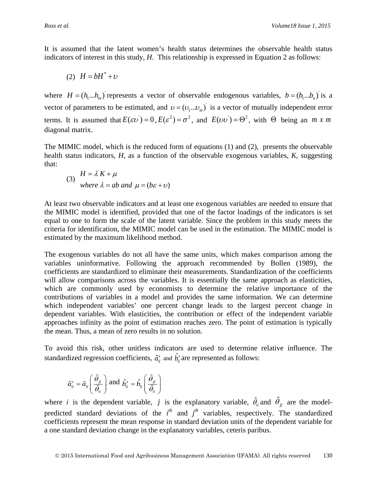It is assumed that the latent women's health status determines the observable health status indicators of interest in this study, *H*. This relationship is expressed in Equation 2 as follows:

$$
(2) H = bH^* + v
$$

where  $H = (h_1...h_m)$  represents a vector of observable endogenous variables,  $b = (b_1...b_n)$  is a vector of parameters to be estimated, and  $v = (v_1...v_m)$  is a vector of mutually independent error terms. It is assumed that  $E(\epsilon v) = 0$ ,  $E(\epsilon^2) = \sigma^2$ , and  $E(vv) = \Theta^2$ , with  $\Theta$  being an *m x m* diagonal matrix.

The MIMIC model, which is the reduced form of equations (1) and (2), presents the observable health status indicators, *H*, as a function of the observable exogenous variables, *K*, suggesting that:

(3) 
$$
H = \lambda K + \mu
$$
  
where  $\lambda = ab$  and  $\mu = (b\varepsilon + \nu)$ 

At least two observable indicators and at least one exogenous variables are needed to ensure that the MIMIC model is identified, provided that one of the factor loadings of the indicators is set equal to one to form the scale of the latent variable. Since the problem in this study meets the criteria for identification, the MIMIC model can be used in the estimation. The MIMIC model is estimated by the maximum likelihood method.

The exogenous variables do not all have the same units, which makes comparison among the variables uninformative. Following the approach recommended by Bollen (1989), the coefficients are standardized to eliminate their measurements. Standardization of the coefficients will allow comparisons across the variables. It is essentially the same approach as elasticities, which are commonly used by economists to determine the relative importance of the contributions of variables in a model and provides the same information. We can determine which independent variables' one percent change leads to the largest percent change in dependent variables. With elasticities, the contribution or effect of the independent variable approaches infinity as the point of estimation reaches zero. The point of estimation is typically the mean. Thus, a mean of zero results in no solution.

To avoid this risk, other unitless indicators are used to determine relative influence. The standardized regression coefficients,  $\hat{a}_{ij}^s$  and  $\hat{b}_{ij}^s$  are represented as follows:

$$
\hat{a}_{ij}^s = \hat{a}_{ij} \left( \frac{\hat{\theta}_{jj}}{\hat{\theta}_{ii}} \right) \text{ and } \hat{b}_{ij}^s = \hat{b}_{ij} \left( \frac{\hat{\theta}_{jj}}{\hat{\theta}_{ii}} \right)
$$

where *i* is the dependent variable, *j* is the explanatory variable,  $\hat{\theta}_{ii}$  and  $\hat{\theta}_{jj}$  are the modelpredicted standard deviations of the  $i<sup>th</sup>$  and  $j<sup>th</sup>$  variables, respectively. The standardized coefficients represent the mean response in standard deviation units of the dependent variable for a one standard deviation change in the explanatory variables, ceteris paribus.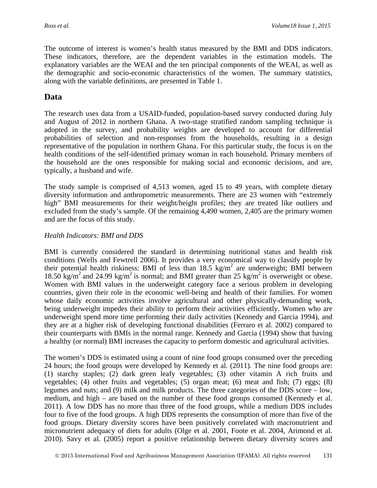The outcome of interest is women's health status measured by the BMI and DDS indicators. These indicators, therefore, are the dependent variables in the estimation models. The explanatory variables are the WEAI and the ten principal components of the WEAI, as well as the demographic and socio-economic characteristics of the women. The summary statistics, along with the variable definitions, are presented in Table 1.

## **Data**

The research uses data from a USAID-funded, population-based survey conducted during July and August of 2012 in northern Ghana. A two-stage stratified random sampling technique is adopted in the survey, and probability weights are developed to account for differential probabilities of selection and non-responses from the households, resulting in a design representative of the population in northern Ghana. For this particular study, the focus is on the health conditions of the self-identified primary woman in each household. Primary members of the household are the ones responsible for making social and economic decisions, and are, typically, a husband and wife.

The study sample is comprised of 4,513 women, aged 15 to 49 years, with complete dietary diversity information and anthropometric measurements. There are 23 women with "extremely high" BMI measurements for their weight/height profiles; they are treated like outliers and excluded from the study's sample. Of the remaining 4,490 women, 2,405 are the primary women and are the focus of this study.

#### *Health Indicators: BMI and DDS*

BMI is currently considered the standard in determining nutritional status and health risk conditions (Wells and Fewtrell 2006). It provides a very economical way to classify people by their potential health riskiness: BMI of less than  $18.5 \text{ kg/m}^2$  are underweight; BMI between 18.50 kg/m<sup>2</sup> and 24.99 kg/m<sup>2</sup> is normal; and BMI greater than 25 kg/m<sup>2</sup> is overweight or obese. Women with BMI values in the underweight category face a serious problem in developing countries, given their role in the economic well-being and health of their families. For women whose daily economic activities involve agricultural and other physically-demanding work, being underweight impedes their ability to perform their activities efficiently. Women who are underweight spend more time performing their daily activities (Kennedy and Garcia 1994), and they are at a higher risk of developing functional disabilities (Ferraro et al. 2002) compared to their counterparts with BMIs in the normal range. Kennedy and Garcia (1994) show that having a healthy (or normal) BMI increases the capacity to perform domestic and agricultural activities.

The women's DDS is estimated using a count of nine food groups consumed over the preceding 24 hours; the food groups were developed by Kennedy et al. (2011). The nine food groups are: (1) starchy staples; (2) dark green leafy vegetables; (3) other vitamin A rich fruits and vegetables; (4) other fruits and vegetables; (5) organ meat; (6) meat and fish; (7) eggs; (8) legumes and nuts; and (9) milk and milk products. The three categories of the DDS score – low, medium, and high – are based on the number of these food groups consumed (Kennedy et al. 2011). A low DDS has no more than three of the food groups, while a medium DDS includes four to five of the food groups. A high DDS represents the consumption of more than five of the food groups. Dietary diversity scores have been positively correlated with macronutrient and micronutrient adequacy of diets for adults (Olge et al. 2001, Foote et al. 2004, Arimond et al. 2010). Savy et al. (2005) report a positive relationship between dietary diversity scores and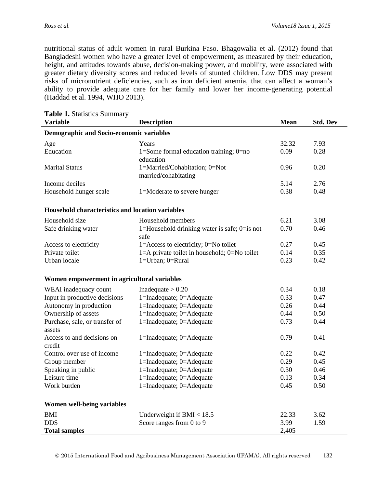nutritional status of adult women in rural Burkina Faso. Bhagowalia et al. (2012) found that Bangladeshi women who have a greater level of empowerment, as measured by their education, height, and attitudes towards abuse, decision-making power, and mobility, were associated with greater dietary diversity scores and reduced levels of stunted children. Low DDS may present risks of micronutrient deficiencies, such as iron deficient anemia, that can affect a woman's ability to provide adequate care for her family and lower her income-generating potential (Haddad et al. 1994, WHO 2013).

| <b>Table 1.</b> Statistics Summary               |                                                       |             |                 |  |  |  |  |  |  |
|--------------------------------------------------|-------------------------------------------------------|-------------|-----------------|--|--|--|--|--|--|
| <b>Variable</b>                                  | <b>Description</b>                                    | <b>Mean</b> | <b>Std. Dev</b> |  |  |  |  |  |  |
| Demographic and Socio-economic variables         |                                                       |             |                 |  |  |  |  |  |  |
| Age                                              | Years                                                 | 32.32       | 7.93            |  |  |  |  |  |  |
| Education                                        | 1=Some formal education training; $0=$ no             | 0.09        | 0.28            |  |  |  |  |  |  |
|                                                  | education                                             |             |                 |  |  |  |  |  |  |
| <b>Marital Status</b>                            | 1=Married/Cohabitation; 0=Not<br>married/cohabitating | 0.96        | 0.20            |  |  |  |  |  |  |
| Income deciles                                   |                                                       | 5.14        | 2.76            |  |  |  |  |  |  |
| Household hunger scale                           | 1=Moderate to severe hunger                           | 0.38        | 0.48            |  |  |  |  |  |  |
| Household characteristics and location variables |                                                       |             |                 |  |  |  |  |  |  |
| Household size                                   | Household members                                     | 6.21        | 3.08            |  |  |  |  |  |  |
| Safe drinking water                              | 1=Household drinking water is safe; $0=$ is not       | 0.70        | 0.46            |  |  |  |  |  |  |
|                                                  | safe                                                  |             |                 |  |  |  |  |  |  |
| Access to electricity                            | 1=Access to electricity; $0=N_0$ toilet               | 0.27        | 0.45            |  |  |  |  |  |  |
| Private toilet                                   | 1=A private toilet in household; 0=No toilet          | 0.14        | 0.35            |  |  |  |  |  |  |
| Urban locale                                     | 1=Urban; 0=Rural                                      | 0.23        | 0.42            |  |  |  |  |  |  |
| Women empowerment in agricultural variables      |                                                       |             |                 |  |  |  |  |  |  |
| WEAI inadequacy count                            | Inadequate $> 0.20$                                   | 0.34        | 0.18            |  |  |  |  |  |  |
| Input in productive decisions                    | 1=Inadequate; 0=Adequate                              | 0.33        | 0.47            |  |  |  |  |  |  |
| Autonomy in production                           | 1=Inadequate; 0=Adequate                              | 0.26        | 0.44            |  |  |  |  |  |  |
| Ownership of assets                              | 1=Inadequate; 0=Adequate                              | 0.44        | 0.50            |  |  |  |  |  |  |
| Purchase, sale, or transfer of                   | 1=Inadequate; 0=Adequate                              | 0.73        | 0.44            |  |  |  |  |  |  |
| assets                                           |                                                       |             |                 |  |  |  |  |  |  |
| Access to and decisions on<br>credit             | 1=Inadequate; 0=Adequate                              | 0.79        | 0.41            |  |  |  |  |  |  |
| Control over use of income                       | 1=Inadequate; 0=Adequate                              | 0.22        | 0.42            |  |  |  |  |  |  |
| Group member                                     | 1=Inadequate; 0=Adequate                              | 0.29        | 0.45            |  |  |  |  |  |  |
| Speaking in public                               | 1=Inadequate; 0=Adequate                              | 0.30        | 0.46            |  |  |  |  |  |  |
| Leisure time                                     | 1=Inadequate; 0=Adequate                              | 0.13        | 0.34            |  |  |  |  |  |  |
| Work burden                                      | 1=Inadequate; 0=Adequate                              | 0.45        | 0.50            |  |  |  |  |  |  |
| Women well-being variables                       |                                                       |             |                 |  |  |  |  |  |  |
| <b>BMI</b>                                       | Underweight if $BMI < 18.5$                           | 22.33       | 3.62            |  |  |  |  |  |  |
| <b>DDS</b>                                       | Score ranges from 0 to 9                              | 3.99        | 1.59            |  |  |  |  |  |  |
| <b>Total samples</b>                             |                                                       | 2,405       |                 |  |  |  |  |  |  |

**Table 1.** Statistics Summary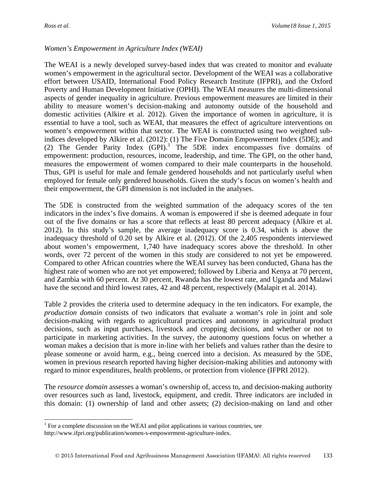$\overline{a}$ 

#### *Women's Empowerment in Agriculture Index (WEAI)*

The WEAI is a newly developed survey-based index that was created to monitor and evaluate women's empowerment in the agricultural sector. Development of the WEAI was a collaborative effort between USAID, International Food Policy Research Institute (IFPRI), and the Oxford Poverty and Human Development Initiative (OPHI). The WEAI measures the multi-dimensional aspects of gender inequality in agriculture. Previous empowerment measures are limited in their ability to measure women's decision-making and autonomy outside of the household and domestic activities (Alkire et al. 2012). Given the importance of women in agriculture, it is essential to have a tool, such as WEAI, that measures the effect of agriculture interventions on women's empowerment within that sector. The WEAI is constructed using two weighted subindices developed by Alkire et al. (2012): (1) The Five Domain Empowerment Index (5DE); and (2) The Gender Parity Index  $(GPI)$ .<sup>[1](#page-6-0)</sup> The 5DE index encompasses five domains of empowerment: production, resources, income, leadership, and time. The GPI, on the other hand, measures the empowerment of women compared to their male counterparts in the household. Thus, GPI is useful for male and female gendered households and not particularly useful when employed for female only gendered households. Given the study's focus on women's health and their empowerment, the GPI dimension is not included in the analyses.

The 5DE is constructed from the weighted summation of the adequacy scores of the ten indicators in the index's five domains. A woman is empowered if she is deemed adequate in four out of the five domains or has a score that reflects at least 80 percent adequacy (Alkire et al. 2012). In this study's sample, the average inadequacy score is 0.34, which is above the inadequacy threshold of 0.20 set by Alkire et al. (2012). Of the 2,405 respondents interviewed about women's empowerment, 1,740 have inadequacy scores above the threshold. In other words, over 72 percent of the women in this study are considered to not yet be empowered. Compared to other African countries where the WEAI survey has been conducted, Ghana has the highest rate of women who are not yet empowered; followed by Liberia and Kenya at 70 percent, and Zambia with 60 percent. At 30 percent, Rwanda has the lowest rate, and Uganda and Malawi have the second and third lowest rates, 42 and 48 percent, respectively (Malapit et al. 2014).

Table 2 provides the criteria used to determine adequacy in the ten indicators. For example, the *production domain* consists of two indicators that evaluate a woman's role in joint and sole decision-making with regards to agricultural practices and autonomy in agricultural product decisions, such as input purchases, livestock and cropping decisions, and whether or not to participate in marketing activities. In the survey, the autonomy questions focus on whether a woman makes a decision that is more in-line with her beliefs and values rather than the desire to please someone or avoid harm, e.g., being coerced into a decision. As measured by the 5DE, women in previous research reported having higher decision-making abilities and autonomy with regard to minor expenditures, health problems, or protection from violence (IFPRI 2012).

The *resource domain* assesses a woman's ownership of, access to, and decision-making authority over resources such as land, livestock, equipment, and credit. Three indicators are included in this domain: (1) ownership of land and other assets; (2) decision-making on land and other

<span id="page-6-0"></span> $1$  For a complete discussion on the WEAI and pilot applications in various countries, see http://www.ifpri.org/publication/women-s-empowerment-agriculture-index.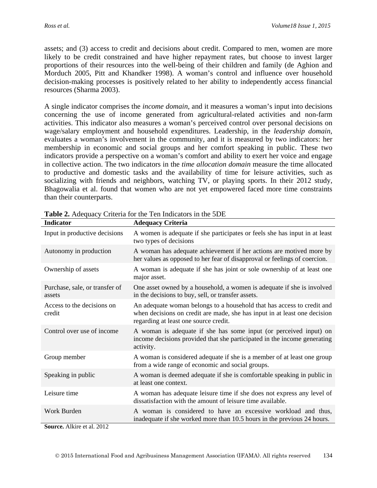assets; and (3) access to credit and decisions about credit. Compared to men, women are more likely to be credit constrained and have higher repayment rates, but choose to invest larger proportions of their resources into the well-being of their children and family (de Aghion and Morduch 2005, Pitt and Khandker 1998). A woman's control and influence over household decision-making processes is positively related to her ability to independently access financial resources (Sharma 2003).

A single indicator comprises the *income domain*, and it measures a woman's input into decisions concerning the use of income generated from agricultural-related activities and non-farm activities. This indicator also measures a woman's perceived control over personal decisions on wage/salary employment and household expenditures. Leadership, in the *leadership domain*, evaluates a woman's involvement in the community, and it is measured by two indicators: her membership in economic and social groups and her comfort speaking in public. These two indicators provide a perspective on a woman's comfort and ability to exert her voice and engage in collective action. The two indicators in the *time allocation domain* measure the time allocated to productive and domestic tasks and the availability of time for leisure activities, such as socializing with friends and neighbors, watching TV, or playing sports. In their 2012 study, Bhagowalia et al. found that women who are not yet empowered faced more time constraints than their counterparts.

| <b>Indicator</b>                         | <b>Adequacy Criteria</b>                                                                                                                                                                     |
|------------------------------------------|----------------------------------------------------------------------------------------------------------------------------------------------------------------------------------------------|
| Input in productive decisions            | A women is adequate if she participates or feels she has input in at least<br>two types of decisions                                                                                         |
| Autonomy in production                   | A woman has adequate achievement if her actions are motived more by<br>her values as opposed to her fear of disapproval or feelings of coercion.                                             |
| Ownership of assets                      | A woman is adequate if she has joint or sole ownership of at least one<br>major asset.                                                                                                       |
| Purchase, sale, or transfer of<br>assets | One asset owned by a household, a women is adequate if she is involved<br>in the decisions to buy, sell, or transfer assets.                                                                 |
| Access to the decisions on<br>credit     | An adequate woman belongs to a household that has access to credit and<br>when decisions on credit are made, she has input in at least one decision<br>regarding at least one source credit. |
| Control over use of income               | A woman is adequate if she has some input (or perceived input) on<br>income decisions provided that she participated in the income generating<br>activity.                                   |
| Group member                             | A woman is considered adequate if she is a member of at least one group<br>from a wide range of economic and social groups.                                                                  |
| Speaking in public                       | A woman is deemed adequate if she is comfortable speaking in public in<br>at least one context.                                                                                              |
| Leisure time                             | A woman has adequate leisure time if she does not express any level of<br>dissatisfaction with the amount of leisure time available.                                                         |
| Work Burden                              | A woman is considered to have an excessive workload and thus,<br>inadequate if she worked more than 10.5 hours in the previous 24 hours.                                                     |

**Table 2.** Adequacy Criteria for the Ten Indicators in the 5DE

**Source.** Alkire et al. 2012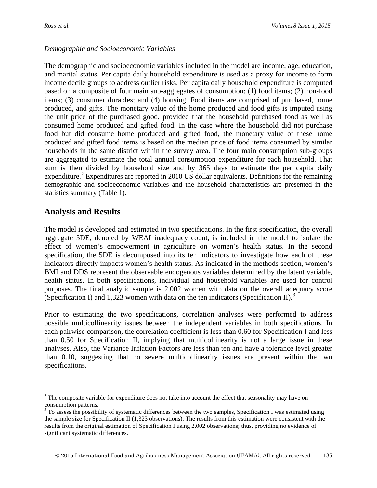#### *Demographic and Socioeconomic Variables*

The demographic and socioeconomic variables included in the model are income, age, education, and marital status. Per capita daily household expenditure is used as a proxy for income to form income decile groups to address outlier risks. Per capita daily household expenditure is computed based on a composite of four main sub-aggregates of consumption: (1) food items; (2) non-food items; (3) consumer durables; and (4) housing. Food items are comprised of purchased, home produced, and gifts. The monetary value of the home produced and food gifts is imputed using the unit price of the purchased good, provided that the household purchased food as well as consumed home produced and gifted food. In the case where the household did not purchase food but did consume home produced and gifted food, the monetary value of these home produced and gifted food items is based on the median price of food items consumed by similar households in the same district within the survey area. The four main consumption sub-groups are aggregated to estimate the total annual consumption expenditure for each household. That sum is then divided by household size and by 365 days to estimate the per capita daily expenditure.<sup>[2](#page-8-0)</sup> Expenditures are reported in 2010 US dollar equivalents. Definitions for the remaining demographic and socioeconomic variables and the household characteristics are presented in the statistics summary (Table 1).

## **Analysis and Results**

 $\overline{a}$ 

The model is developed and estimated in two specifications. In the first specification, the overall aggregate 5DE, denoted by WEAI inadequacy count, is included in the model to isolate the effect of women's empowerment in agriculture on women's health status. In the second specification, the 5DE is decomposed into its ten indicators to investigate how each of these indicators directly impacts women's health status. As indicated in the methods section, women's BMI and DDS represent the observable endogenous variables determined by the latent variable, health status. In both specifications, individual and household variables are used for control purposes. The final analytic sample is 2,002 women with data on the overall adequacy score (Specification I) and 1,[3](#page-8-1)23 women with data on the ten indicators (Specification II).<sup>3</sup>

Prior to estimating the two specifications, correlation analyses were performed to address possible multicollinearity issues between the independent variables in both specifications. In each pairwise comparison, the correlation coefficient is less than 0.60 for Specification I and less than 0.50 for Specification II, implying that multicollinearity is not a large issue in these analyses. Also, the Variance Inflation Factors are less than ten and have a tolerance level greater than 0.10, suggesting that no severe multicollinearity issues are present within the two specifications.

<span id="page-8-0"></span><sup>&</sup>lt;sup>2</sup> The composite variable for expenditure does not take into account the effect that seasonality may have on consumption patterns.

<span id="page-8-1"></span><sup>&</sup>lt;sup>3</sup> To assess the possibility of systematic differences between the two samples, Specification I was estimated using the sample size for Specification II (1,323 observations). The results from this estimation were consistent with the results from the original estimation of Specification I using 2,002 observations; thus, providing no evidence of significant systematic differences.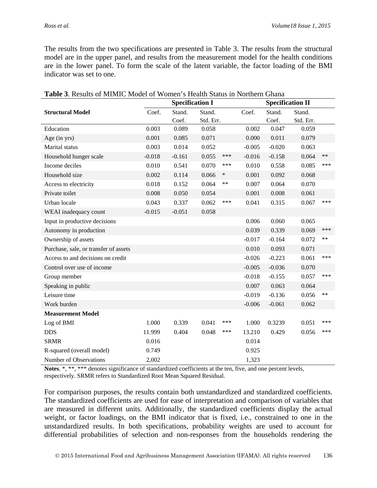The results from the two specifications are presented in Table 3. The results from the structural model are in the upper panel, and results from the measurement model for the health conditions are in the lower panel. To form the scale of the latent variable, the factor loading of the BMI indicator was set to one.

|                                       | <u>reginen</u> 9 <b>Tiea</b> nn Dunas III Federal<br><b>Specification I</b> |          |           |        |          | <b>Specification II</b> |           |            |
|---------------------------------------|-----------------------------------------------------------------------------|----------|-----------|--------|----------|-------------------------|-----------|------------|
| <b>Structural Model</b>               | Coef.                                                                       | Stand.   | Stand.    |        | Coef.    | Stand.                  | Stand.    |            |
|                                       |                                                                             | Coef.    | Std. Err. |        |          | Coef.                   | Std. Err. |            |
| Education                             | 0.003                                                                       | 0.089    | 0.058     |        | 0.002    | 0.047                   | 0.059     |            |
| Age (in yrs)                          | 0.001                                                                       | 0.085    | 0.071     |        | 0.000    | 0.011                   | 0.079     |            |
| Marital status                        | 0.003                                                                       | 0.014    | 0.052     |        | $-0.005$ | $-0.020$                | 0.063     |            |
| Household hunger scale                | $-0.018$                                                                    | $-0.161$ | 0.055     | ***    | $-0.016$ | $-0.158$                | 0.064     | $**$       |
| Income deciles                        | 0.010                                                                       | 0.541    | 0.070     | ***    | 0.010    | 0.558                   | 0.085     | ***        |
| Household size                        | 0.002                                                                       | 0.114    | 0.066     | $\ast$ | 0.001    | 0.092                   | 0.068     |            |
| Access to electricity                 | 0.018                                                                       | 0.152    | 0.064     | **     | 0.007    | 0.064                   | 0.070     |            |
| Private toilet                        | 0.008                                                                       | 0.050    | 0.054     |        | 0.001    | 0.008                   | 0.061     |            |
| Urban locale                          | 0.043                                                                       | 0.337    | 0.062     | ***    | 0.041    | 0.315                   | 0.067     | ***        |
| WEAI inadequacy count                 | $-0.015$                                                                    | $-0.051$ | 0.058     |        |          |                         |           |            |
| Input in productive decisions         |                                                                             |          |           |        | 0.006    | 0.060                   | 0.065     |            |
| Autonomy in production                |                                                                             |          |           |        | 0.039    | 0.339                   | 0.069     | ***        |
| Ownership of assets                   |                                                                             |          |           |        | $-0.017$ | $-0.164$                | 0.072     | $\ast\ast$ |
| Purchase, sale, or transfer of assets |                                                                             |          |           |        | 0.010    | 0.093                   | 0.071     |            |
| Access to and decisions on credit     |                                                                             |          |           |        | $-0.026$ | $-0.223$                | 0.061     | ***        |
| Control over use of income            |                                                                             |          |           |        | $-0.005$ | $-0.036$                | 0.070     |            |
| Group member                          |                                                                             |          |           |        | $-0.018$ | $-0.155$                | 0.057     | ***        |
| Speaking in public                    |                                                                             |          |           |        | 0.007    | 0.063                   | 0.064     |            |
| Leisure time                          |                                                                             |          |           |        | $-0.019$ | $-0.136$                | 0.056     | $**$       |
| Work burden                           |                                                                             |          |           |        | $-0.006$ | $-0.061$                | 0.062     |            |
| <b>Measurement Model</b>              |                                                                             |          |           |        |          |                         |           |            |
| Log of BMI                            | 1.000                                                                       | 0.339    | 0.041     | ***    | 1.000    | 0.3239                  | 0.051     | ***        |
| <b>DDS</b>                            | 11.999                                                                      | 0.404    | 0.048     | ***    | 13.210   | 0.429                   | 0.056     | ***        |
| <b>SRMR</b>                           | 0.016                                                                       |          |           |        | 0.014    |                         |           |            |
| R-squared (overall model)             | 0.749                                                                       |          |           |        | 0.925    |                         |           |            |
| Number of Observations                | 2,002                                                                       |          |           |        | 1,323    |                         |           |            |

**Table 3**. Results of MIMIC Model of Women's Health Status in Northern Ghana

**Notes**. \*, \*\*, \*\*\* denotes significance of standardized coefficients at the ten, five, and one percent levels, respectively. SRMR refers to Standardized Root Mean Squared Residual.

For comparison purposes, the results contain both unstandardized and standardized coefficients. The standardized coefficients are used for ease of interpretation and comparison of variables that are measured in different units. Additionally, the standardized coefficients display the actual weight, or factor loadings, on the BMI indicator that is fixed, i.e., constrained to one in the unstandardized results. In both specifications, probability weights are used to account for differential probabilities of selection and non-responses from the households rendering the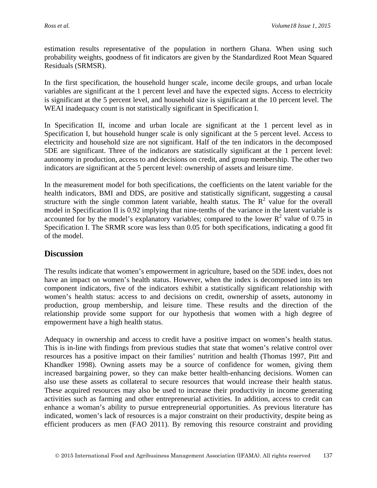estimation results representative of the population in northern Ghana. When using such probability weights, goodness of fit indicators are given by the Standardized Root Mean Squared Residuals (SRMSR).

In the first specification, the household hunger scale, income decile groups, and urban locale variables are significant at the 1 percent level and have the expected signs. Access to electricity is significant at the 5 percent level, and household size is significant at the 10 percent level. The WEAI inadequacy count is not statistically significant in Specification I.

In Specification II, income and urban locale are significant at the 1 percent level as in Specification I, but household hunger scale is only significant at the 5 percent level. Access to electricity and household size are not significant. Half of the ten indicators in the decomposed 5DE are significant. Three of the indicators are statistically significant at the 1 percent level: autonomy in production, access to and decisions on credit, and group membership. The other two indicators are significant at the 5 percent level: ownership of assets and leisure time.

In the measurement model for both specifications, the coefficients on the latent variable for the health indicators, BMI and DDS, are positive and statistically significant, suggesting a causal structure with the single common latent variable, health status. The  $R^2$  value for the overall model in Specification II is 0.92 implying that nine-tenths of the variance in the latent variable is accounted for by the model's explanatory variables; compared to the lower  $R^2$  value of 0.75 in Specification I. The SRMR score was less than 0.05 for both specifications, indicating a good fit of the model.

## **Discussion**

The results indicate that women's empowerment in agriculture, based on the 5DE index, does not have an impact on women's health status. However, when the index is decomposed into its ten component indicators, five of the indicators exhibit a statistically significant relationship with women's health status: access to and decisions on credit, ownership of assets, autonomy in production, group membership, and leisure time. These results and the direction of the relationship provide some support for our hypothesis that women with a high degree of empowerment have a high health status.

Adequacy in ownership and access to credit have a positive impact on women's health status. This is in-line with findings from previous studies that state that women's relative control over resources has a positive impact on their families' nutrition and health (Thomas 1997, Pitt and Khandker 1998). Owning assets may be a source of confidence for women, giving them increased bargaining power, so they can make better health-enhancing decisions. Women can also use these assets as collateral to secure resources that would increase their health status. These acquired resources may also be used to increase their productivity in income generating activities such as farming and other entrepreneurial activities. In addition, access to credit can enhance a woman's ability to pursue entrepreneurial opportunities. As previous literature has indicated, women's lack of resources is a major constraint on their productivity, despite being as efficient producers as men (FAO 2011). By removing this resource constraint and providing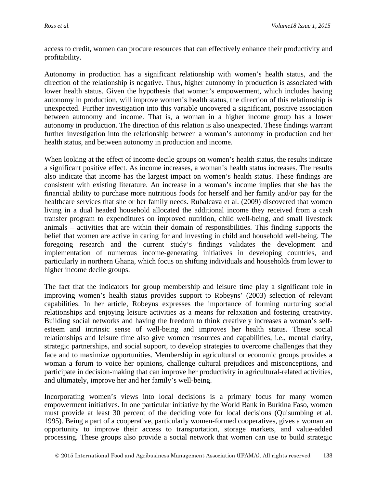access to credit, women can procure resources that can effectively enhance their productivity and profitability.

Autonomy in production has a significant relationship with women's health status, and the direction of the relationship is negative. Thus, higher autonomy in production is associated with lower health status. Given the hypothesis that women's empowerment, which includes having autonomy in production, will improve women's health status, the direction of this relationship is unexpected. Further investigation into this variable uncovered a significant, positive association between autonomy and income. That is, a woman in a higher income group has a lower autonomy in production. The direction of this relation is also unexpected. These findings warrant further investigation into the relationship between a woman's autonomy in production and her health status, and between autonomy in production and income.

When looking at the effect of income decile groups on women's health status, the results indicate a significant positive effect. As income increases, a woman's health status increases. The results also indicate that income has the largest impact on women's health status. These findings are consistent with existing literature. An increase in a woman's income implies that she has the financial ability to purchase more nutritious foods for herself and her family and/or pay for the healthcare services that she or her family needs. Rubalcava et al. (2009) discovered that women living in a dual headed household allocated the additional income they received from a cash transfer program to expenditures on improved nutrition, child well-being, and small livestock animals – activities that are within their domain of responsibilities. This finding supports the belief that women are active in caring for and investing in child and household well-being. The foregoing research and the current study's findings validates the development and implementation of numerous income-generating initiatives in developing countries, and particularly in northern Ghana, which focus on shifting individuals and households from lower to higher income decile groups.

The fact that the indicators for group membership and leisure time play a significant role in improving women's health status provides support to Robeyns' (2003) selection of relevant capabilities. In her article, Robeyns expresses the importance of forming nurturing social relationships and enjoying leisure activities as a means for relaxation and fostering creativity. Building social networks and having the freedom to think creatively increases a woman's selfesteem and intrinsic sense of well-being and improves her health status. These social relationships and leisure time also give women resources and capabilities, i.e., mental clarity, strategic partnerships, and social support, to develop strategies to overcome challenges that they face and to maximize opportunities. Membership in agricultural or economic groups provides a woman a forum to voice her opinions, challenge cultural prejudices and misconceptions, and participate in decision-making that can improve her productivity in agricultural-related activities, and ultimately, improve her and her family's well-being.

Incorporating women's views into local decisions is a primary focus for many women empowerment initiatives. In one particular initiative by the World Bank in Burkina Faso, women must provide at least 30 percent of the deciding vote for local decisions (Quisumbing et al. 1995). Being a part of a cooperative, particularly women-formed cooperatives, gives a woman an opportunity to improve their access to transportation, storage markets, and value-added processing. These groups also provide a social network that women can use to build strategic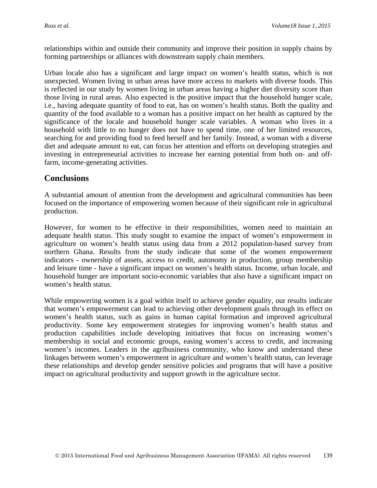relationships within and outside their community and improve their position in supply chains by forming partnerships or alliances with downstream supply chain members.

Urban locale also has a significant and large impact on women's health status, which is not unexpected. Women living in urban areas have more access to markets with diverse foods. This is reflected in our study by women living in urban areas having a higher diet diversity score than those living in rural areas. Also expected is the positive impact that the household hunger scale, i.e., having adequate quantity of food to eat, has on women's health status. Both the quality and quantity of the food available to a woman has a positive impact on her health as captured by the significance of the locale and household hunger scale variables. A woman who lives in a household with little to no hunger does not have to spend time, one of her limited resources, searching for and providing food to feed herself and her family. Instead, a woman with a diverse diet and adequate amount to eat, can focus her attention and efforts on developing strategies and investing in entrepreneurial activities to increase her earning potential from both on- and offfarm, income-generating activities.

## **Conclusions**

A substantial amount of attention from the development and agricultural communities has been focused on the importance of empowering women because of their significant role in agricultural production.

However, for women to be effective in their responsibilities, women need to maintain an adequate health status. This study sought to examine the impact of women's empowerment in agriculture on women's health status using data from a 2012 population-based survey from northern Ghana. Results from the study indicate that some of the women empowerment indicators - ownership of assets, access to credit, autonomy in production, group membership and leisure time - have a significant impact on women's health status. Income, urban locale, and household hunger are important socio-economic variables that also have a significant impact on women's health status.

While empowering women is a goal within itself to achieve gender equality, our results indicate that women's empowerment can lead to achieving other development goals through its effect on women's health status, such as gains in human capital formation and improved agricultural productivity. Some key empowerment strategies for improving women's health status and production capabilities include developing initiatives that focus on increasing women's membership in social and economic groups, easing women's access to credit, and increasing women's incomes. Leaders in the agribusiness community, who know and understand these linkages between women's empowerment in agriculture and women's health status, can leverage these relationships and develop gender sensitive policies and programs that will have a positive impact on agricultural productivity and support growth in the agriculture sector.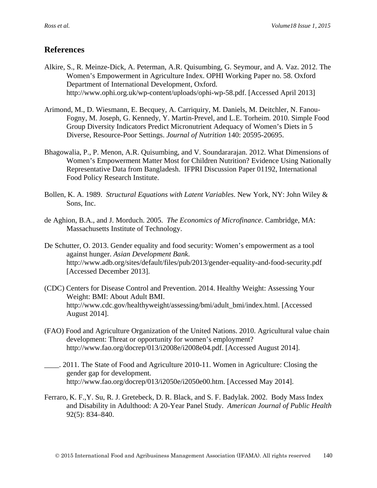## **References**

- Alkire, S., R. Meinze-Dick, A. Peterman, A.R. Quisumbing, G. Seymour, and A. Vaz. 2012. The Women's Empowerment in Agriculture Index. OPHI Working Paper no. 58. Oxford Department of International Development, Oxford. http://www.ophi.org.uk/wp-content/uploads/ophi-wp-58.pdf. [Accessed April 2013]
- Arimond, M., D. Wiesmann, E. Becquey, A. Carriquiry, M. Daniels, M. Deitchler, N. Fanou-Fogny, M. Joseph, G. Kennedy, Y. Martin-Prevel, and L.E. Torheim. 2010. Simple Food Group Diversity Indicators Predict Micronutrient Adequacy of Women's Diets in 5 Diverse, Resource-Poor Settings. *Journal of Nutrition* 140: 20595-20695.
- Bhagowalia, P., P. Menon, A.R. Quisumbing, and V. Soundararajan. 2012. What Dimensions of Women's Empowerment Matter Most for Children Nutrition? Evidence Using Nationally Representative Data from Bangladesh. IFPRI Discussion Paper 01192, International Food Policy Research Institute.
- Bollen, K. A. 1989. *Structural Equations with Latent Variables*. New York, NY: John Wiley & Sons, Inc.
- de Aghion, B.A., and J. Morduch. 2005. *The Economics of Microfinance*. Cambridge, MA: Massachusetts Institute of Technology.
- De Schutter, O. 2013. Gender equality and food security: Women's empowerment as a tool against hunger. *Asian Development Bank*. http://www.adb.org/sites/default/files/pub/2013/gender-equality-and-food-security.pdf [Accessed December 2013].
- (CDC) Centers for Disease Control and Prevention. 2014. Healthy Weight: Assessing Your Weight: BMI: About Adult BMI. http://www.cdc.gov/healthyweight/assessing/bmi/adult\_bmi/index.html. [Accessed August 2014].
- (FAO) Food and Agriculture Organization of the United Nations. 2010. Agricultural value chain development: Threat or opportunity for women's employment? http://www.fao.org/docrep/013/i2008e/i2008e04.pdf. [Accessed August 2014].
- \_\_\_\_. 2011. The State of Food and Agriculture 2010-11. Women in Agriculture: Closing the gender gap for development*.*  http://www.fao.org/docrep/013/i2050e/i2050e00.htm. [Accessed May 2014].
- [Ferraro,](http://www.ncbi.nlm.nih.gov/pubmed/?term=Ferraro%20KF%5Bauth%5D) K. F.[,Y. Su,](http://www.ncbi.nlm.nih.gov/pubmed/?term=Su%20Yp%5Bauth%5D) [R. J. Gretebeck,](http://www.ncbi.nlm.nih.gov/pubmed/?term=Gretebeck%20RJ%5Bauth%5D) [D. R. Black,](http://www.ncbi.nlm.nih.gov/pubmed/?term=Black%20DR%5Bauth%5D) and [S. F. Badylak.](http://www.ncbi.nlm.nih.gov/pubmed/?term=Badylak%20SF%5Bauth%5D) 2002. Body Mass Index and Disability in Adulthood: A 20-Year Panel Study. *American Journal of Public Health* 92(5): 834–840.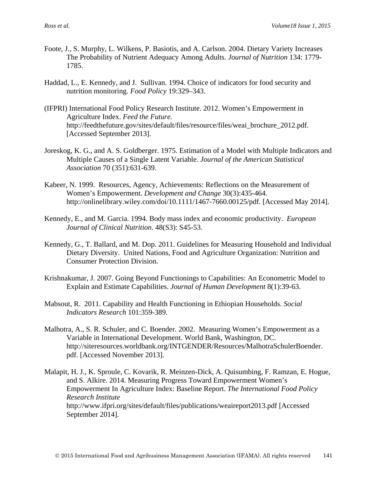- Foote, J., S. Murphy, L. Wilkens, P. Basiotis, and A. Carlson. 2004. Dietary Variety Increases The Probability of Nutrient Adequacy Among Adults. *Journal of Nutrition* 134: 1779- 1785.
- Haddad, L., E. Kennedy, and J. Sullivan. 1994. Choice of indicators for food security and nutrition monitoring. *Food Policy* 19:329–343.
- (IFPRI) International Food Policy Research Institute. 2012. Women's Empowerment in Agriculture Index. *Feed the Future.* http://feedthefuture.gov/sites/default/files/resource/files/weai\_brochure\_2012.pdf. [Accessed September 2013].
- Joreskog, K. G., and A. S. Goldberger. 1975. Estimation of a Model with Multiple Indicators and Multiple Causes of a Single Latent Variable. *Journal of the American Statistical Association* 70 (351):631-639.
- Kabeer, N. 1999. Resources, Agency, Achievements: Reflections on the Measurement of Women's Empowerment. *Development and Change* 30(3):435-464. http://onlinelibrary.wiley.com/doi/10.1111/1467-7660.00125/pdf. [Accessed May 2014].
- [Kennedy, E.](http://www.ncbi.nlm.nih.gov/pubmed?term=Kennedy%20E%5BAuthor%5D&cauthor=true&cauthor_uid=7843160), and M. [Garcia. 1994.](http://www.ncbi.nlm.nih.gov/pubmed?term=Garcia%20M%5BAuthor%5D&cauthor=true&cauthor_uid=7843160) Body mass index and economic productivity. *European Journal of Clinical Nutrition*. 48(S3): S45-53.
- Kennedy, G., T. Ballard, and M. Dop. 2011. Guidelines for Measuring Household and Individual Dietary Diversity. United Nations, Food and Agriculture Organization: Nutrition and Consumer Protection Division.
- Krishnakumar, J. 2007. Going Beyond Functionings to Capabilities: An Econometric Model to Explain and Estimate Capabilities. *Journal of Human Development* 8(1):39-63.
- Mabsout, R. 2011. Capability and Health Functioning in Ethiopian Households. *Social Indicators Research* 101:359-389.
- Malhotra, A., S. R. Schuler, and C. Boender. 2002. Measuring Women's Empowerment as a Variable in International Development. World Bank, Washington, DC. http://siteresources.worldbank.org/INTGENDER/Resources/MalhotraSchulerBoender. pdf. [Accessed November 2013].
- Malapit, H. J., K. Sproule, C. Kovarik, R. Meinzen-Dick, A. Quisumbing, F. Ramzan, E. Hogue, and S. Alkire. 2014. Measuring Progress Toward Empowerment Women's Empowerment In Agriculture Index: Baseline Report. *The International Food Policy Research Institute* http://www.ifpri.org/sites/default/files/publications/weaireport2013.pdf [Accessed September 2014].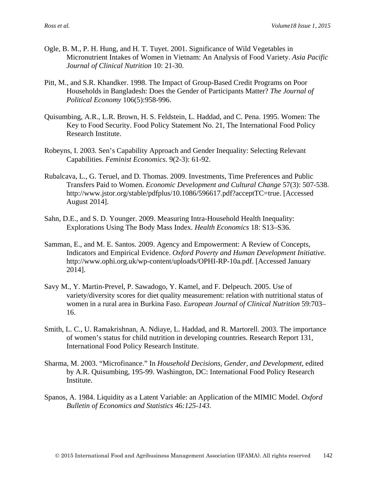- Ogle, B. M., P. H. Hung, and H. T. Tuyet. 2001. Significance of Wild Vegetables in Micronutrient Intakes of Women in Vietnam: An Analysis of Food Variety. *Asia Pacific Journal of Clinical Nutrition* 10: 21-30.
- Pitt, M., and S.R. Khandker. 1998. The Impact of Group-Based Credit Programs on Poor Households in Bangladesh: Does the Gender of Participants Matter? *The Journal of Political Economy* 106(5):958-996.
- Quisumbing, A.R., L.R. Brown, H. S. Feldstein, L. Haddad, and C. Pena. 1995. Women: The Key to Food Security. Food Policy Statement No. 21, The International Food Policy Research Institute.
- Robeyns, I. 2003. Sen's Capability Approach and Gender Inequality: Selecting Relevant Capabilities. *Feminist Economics*. 9(2-3): 61-92.
- Rubalcava, L., G. Teruel, and D. Thomas. 2009. Investments, Time Preferences and Public Transfers Paid to Women. *Economic Development and Cultural Change* 57(3): 507-538. http://www.jstor.org/stable/pdfplus/10.1086/596617.pdf?acceptTC=true. [Accessed August 2014].
- Sahn, D.E., and S. D. Younger. 2009. Measuring Intra-Household Health Inequality: Explorations Using The Body Mass Index. *Health Economics* 18: S13–S36.
- Samman, E., and M. E. Santos. 2009. Agency and Empowerment: A Review of Concepts, Indicators and Empirical Evidence. *Oxford Poverty and Human Development Initiative*. http://www.ophi.org.uk/wp-content/uploads/OPHI-RP-10a.pdf. [Accessed January 2014].
- Savy M., Y. Martin-Prevel, P. Sawadogo, Y. Kamel, and F. Delpeuch. 2005. Use of variety/diversity scores for diet quality measurement: relation with nutritional status of women in a rural area in Burkina Faso. *European Journal of Clinical Nutrition* 59:703– 16.
- Smith, L. C., U. Ramakrishnan, A. Ndiaye, L. Haddad, and R. Martorell. 2003. The importance of women's status for child nutrition in developing countries. Research Report 131, International Food Policy Research Institute.
- Sharma, M. 2003. "Microfinance." In *Household Decisions, Gender, and Development*, edited by A.R. Quisumbing, 195-99. Washington, DC: International Food Policy Research Institute.
- Spanos, A. 1984. Liquidity as a Latent Variable: an Application of the MIMIC Model. *Oxford Bulletin of Economics and Statistics* 46*:125-143.*